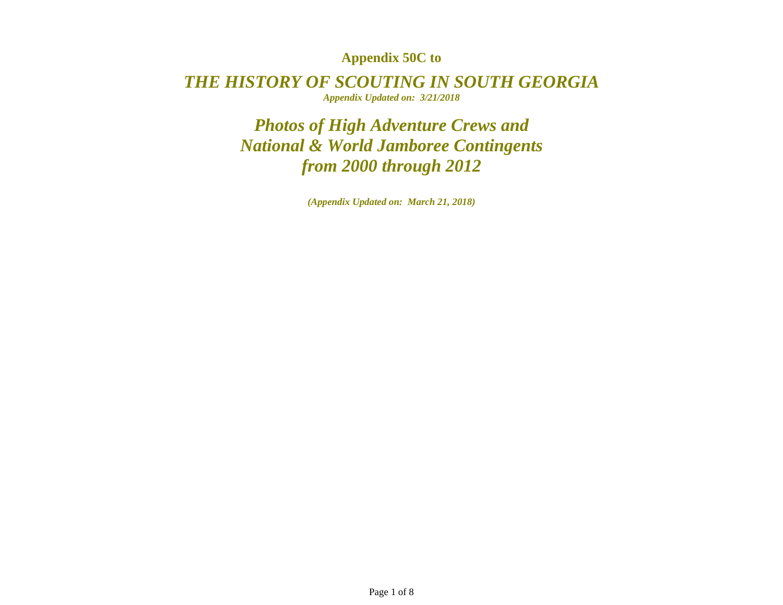## **Appendix 50C to**

*THE HISTORY OF SCOUTING IN SOUTH GEORGIAAppendix Updated on: 3/21/2018* 

> *Photos of High Adventure Crews and National & World Jamboree Contingents from 2000 through 2012*

> > *(Appendix Updated on: March 21, 2018)*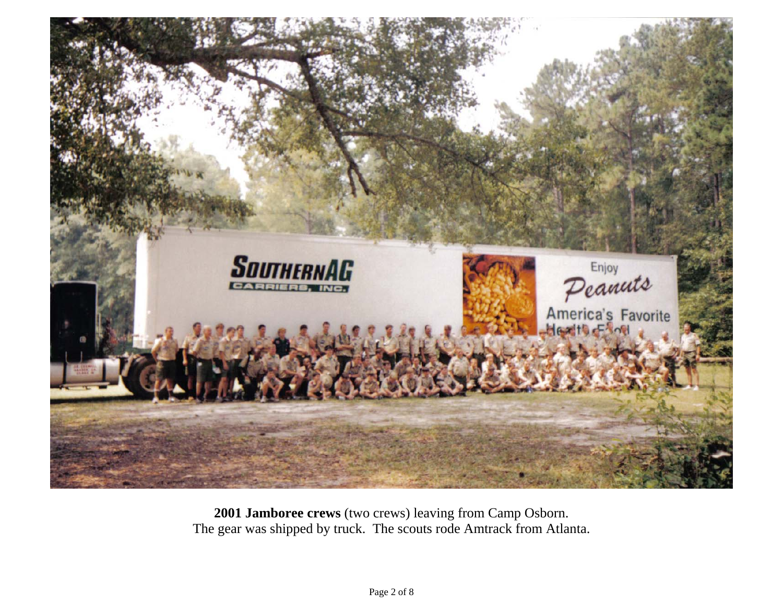

**2001 Jamboree crews** (two crews) leaving from Camp Osborn. The gear was shipped by truck. The scouts rode Amtrack from Atlanta.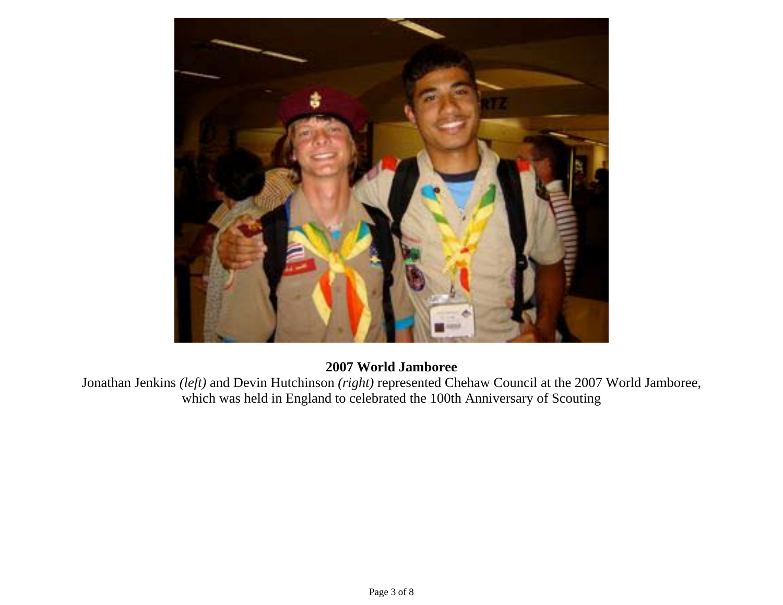

## **2007 World Jamboree**

Jonathan Jenkins *(left)* and Devin Hutchinson *(right)* represented Chehaw Council at the 2007 World Jamboree, which was held in England to celebrated the 100th Anniversary of Scouting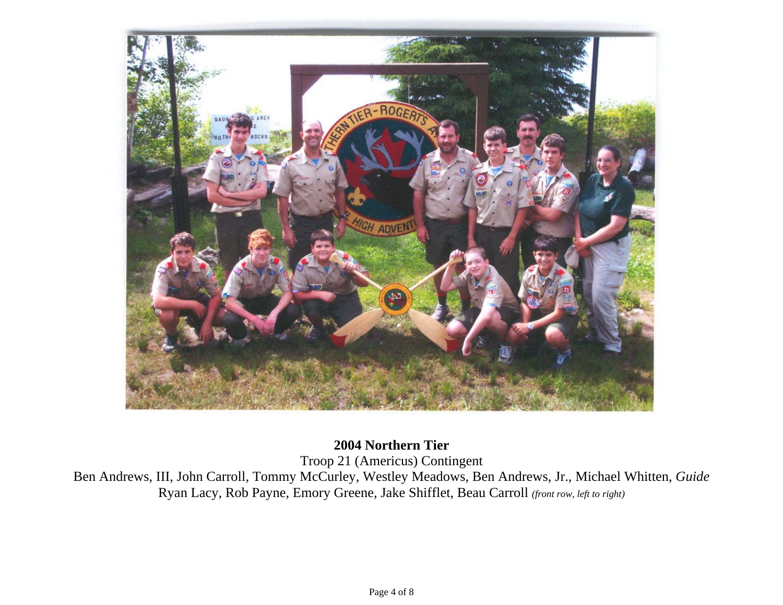

**2004 Northern Tier** 

Troop 21 (Americus) Contingent

Ben Andrews, III, John Carroll, Tommy McCurley, Westley Meadows, Ben Andrews, Jr., Michael Whitten, *Guide* Ryan Lacy, Rob Payne, Emory Greene, Jake Shifflet, Beau Carroll *(front row, left to right)*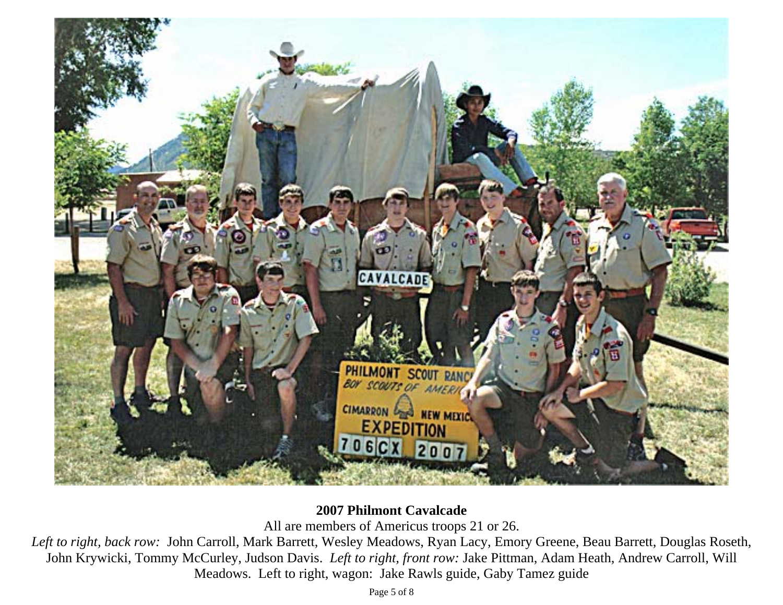

## **2007 Philmont Cavalcade**

All are members of Americus troops 21 or 26.

*Left to right, back row:* John Carroll, Mark Barrett, Wesley Meadows, Ryan Lacy, Emory Greene, Beau Barrett, Douglas Roseth, John Krywicki, Tommy McCurley, Judson Davis. *Left to right, front row:* Jake Pittman, Adam Heath, Andrew Carroll, Will Meadows. Left to right, wagon: Jake Rawls guide, Gaby Tamez guide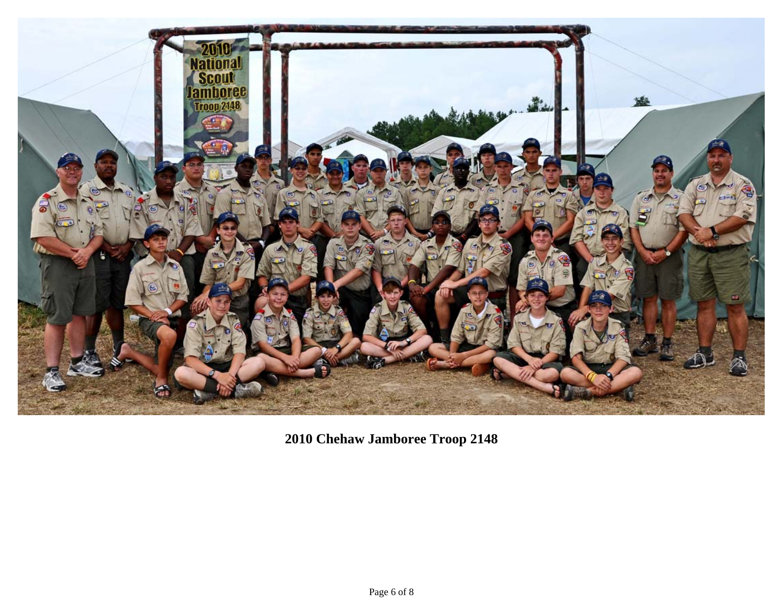

**2010 Chehaw Jamboree Troop 2148**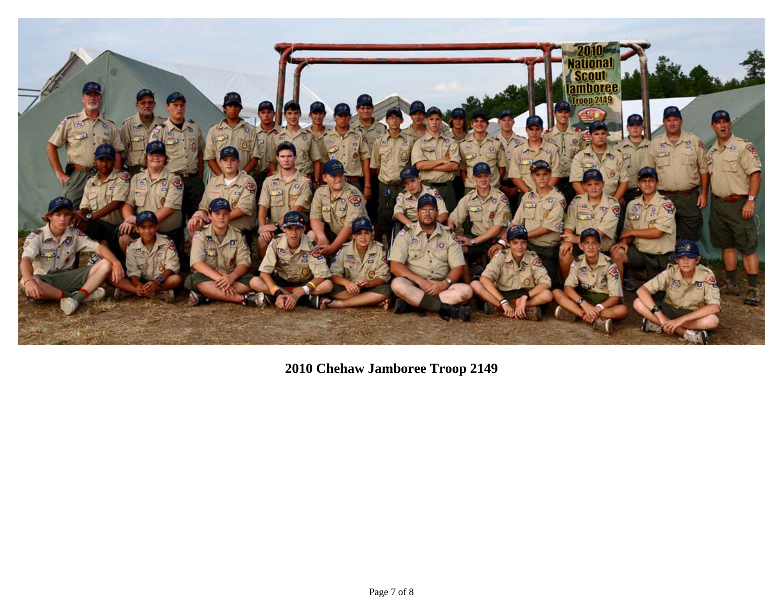

**2010 Chehaw Jamboree Troop 2149**